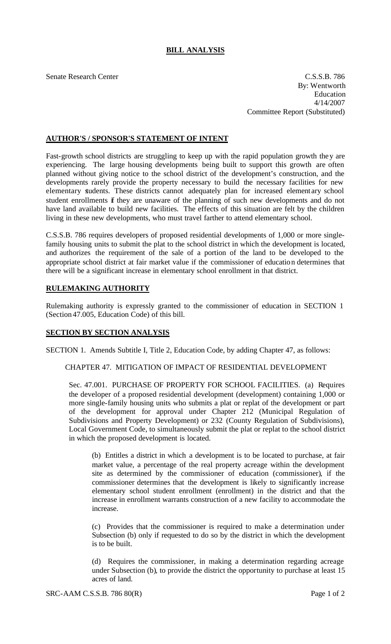# **BILL ANALYSIS**

Senate Research Center C.S.S.B. 786 By: Wentworth Education 4/14/2007 Committee Report (Substituted)

## **AUTHOR'S / SPONSOR'S STATEMENT OF INTENT**

Fast-growth school districts are struggling to keep up with the rapid population growth they are experiencing. The large housing developments being built to support this growth are often planned without giving notice to the school district of the development's construction, and the developments rarely provide the property necessary to build the necessary facilities for new elementary students. These districts cannot adequately plan for increased element ary school student enrollments if they are unaware of the planning of such new developments and do not have land available to build new facilities. The effects of this situation are felt by the children living in these new developments, who must travel farther to attend elementary school.

C.S.S.B. 786 requires developers of proposed residential developments of 1,000 or more singlefamily housing units to submit the plat to the school district in which the development is located, and authorizes the requirement of the sale of a portion of the land to be developed to the appropriate school district at fair market value if the commissioner of education determines that there will be a significant increase in elementary school enrollment in that district.

## **RULEMAKING AUTHORITY**

Rulemaking authority is expressly granted to the commissioner of education in SECTION 1 (Section 47.005, Education Code) of this bill.

## **SECTION BY SECTION ANALYSIS**

SECTION 1. Amends Subtitle I, Title 2, Education Code, by adding Chapter 47, as follows:

### CHAPTER 47. MITIGATION OF IMPACT OF RESIDENTIAL DEVELOPMENT

Sec. 47.001. PURCHASE OF PROPERTY FOR SCHOOL FACILITIES. (a) Requires the developer of a proposed residential development (development) containing 1,000 or more single-family housing units who submits a plat or replat of the development or part of the development for approval under Chapter 212 (Municipal Regulation of Subdivisions and Property Development) or 232 (County Regulation of Subdivisions), Local Government Code, to simultaneously submit the plat or replat to the school district in which the proposed development is located.

(b) Entitles a district in which a development is to be located to purchase, at fair market value, a percentage of the real property acreage within the development site as determined by the commissioner of education (commissioner), if the commissioner determines that the development is likely to significantly increase elementary school student enrollment (enrollment) in the district and that the increase in enrollment warrants construction of a new facility to accommodate the increase.

(c) Provides that the commissioner is required to make a determination under Subsection (b) only if requested to do so by the district in which the development is to be built.

(d) Requires the commissioner, in making a determination regarding acreage under Subsection (b), to provide the district the opportunity to purchase at least 15 acres of land.